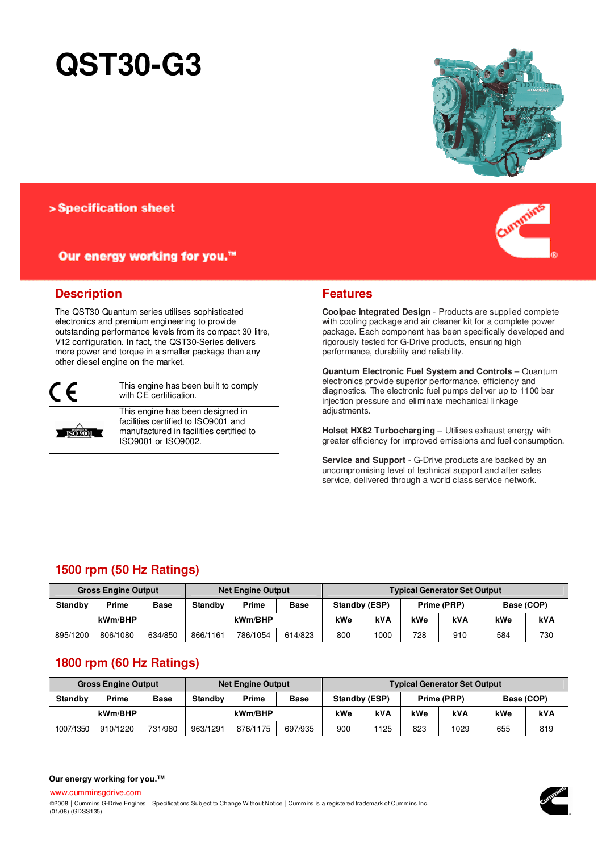# **QST30-G3**



## > Specification sheet

# Our energy working for you.™



# **Description**

The QST30 Quantum series utilises sophisticated electronics and premium engineering to provide outstanding performance levels from its compact 30 litre, V12 configuration. In fact, the QST30-Series delivers more power and torque in a smaller package than any other diesel engine on the market.



This engine has been built to comply with CF certification.



(01/08) (GDSS135)

This engine has been designed in facilities certified to ISO9001 and manufactured in facilities certified to ISO9001 or ISO9002.

# **Features**

**Coolpac Integrated Design** - Products are supplied complete with cooling package and air cleaner kit for a complete power package. Each component has been specifically developed and rigorously tested for G-Drive products, ensuring high performance, durability and reliability.

**Quantum Electronic Fuel System and Controls** – Quantum electronics provide superior performance, efficiency and diagnostics. The electronic fuel pumps deliver up to 1100 bar injection pressure and eliminate mechanical linkage adjustments.

**Holset HX82 Turbocharging** – Utilises exhaust energy with greater efficiency for improved emissions and fuel consumption.

**Service and Support** - G-Drive products are backed by an uncompromising level of technical support and after sales service, delivered through a world class service network.

# **1500 rpm (50 Hz Ratings)**

| <b>Gross Engine Output</b>             |          |         | Net Engine Output |          |             | <b>Typical Generator Set Output</b> |            |             |     |            |            |
|----------------------------------------|----------|---------|-------------------|----------|-------------|-------------------------------------|------------|-------------|-----|------------|------------|
| Prime<br><b>Standby</b><br><b>Base</b> |          |         | <b>Standby</b>    | Prime    | <b>Base</b> | Standby (ESP)                       |            | Prime (PRP) |     | Base (COP) |            |
| kWm/BHP                                |          |         |                   | kWm/BHP  |             | kWe                                 | <b>kVA</b> | kWe         | kVA | kWe        | <b>kVA</b> |
| 895/1200                               | 806/1080 | 634/850 | 866/1161          | 786/1054 | 614/823     | 800                                 | 1000       | 728         | 910 | 584        | 730        |

# **1800 rpm (60 Hz Ratings)**

| <b>Gross Engine Output</b>             |          |         | <b>Net Engine Output</b> |          |             | <b>Typical Generator Set Output</b> |            |             |      |            |     |
|----------------------------------------|----------|---------|--------------------------|----------|-------------|-------------------------------------|------------|-------------|------|------------|-----|
| Prime<br><b>Standby</b><br><b>Base</b> |          |         | Standby                  | Prime    | <b>Base</b> | Standby (ESP)                       |            | Prime (PRP) |      | Base (COP) |     |
| kWm/BHP                                |          |         |                          | kWm/BHP  |             | kWe                                 | <b>kVA</b> | kWe         | kVA  | kWe        | kVA |
| 1007/1350                              | 910/1220 | 731/980 | 963/1291                 | 876/1175 | 697/935     | 900                                 | 125        | 823         | 1029 | 655        | 819 |